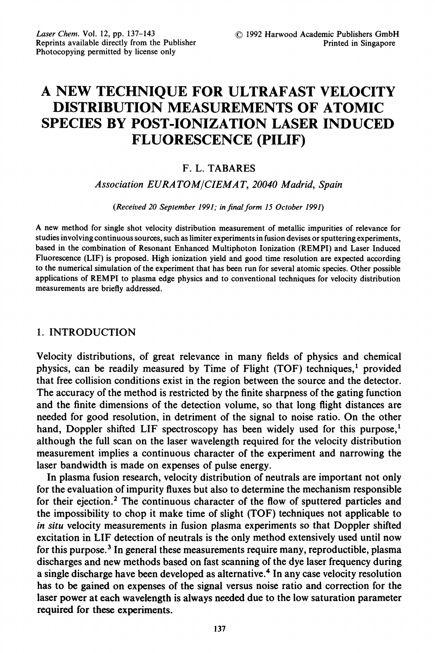# A NEW TECHNIQUE FOR ULTRAFAST VELOCITY DISTRIBUTION MEASUREMENTS OF ATOMIC SPECIES BY POST-IONIZATION LASER INDUCED FLUORESCENCE (PILIF)

# F. L. TABARES

#### Association EURATOM/CIEMAT, <sup>20040</sup> Madrid, Spain

#### (Received 20 September 1991; in final form 15 October 1991)

A new method for single shot velocity distribution measurement of metallic impurities of relevance for studies involving continuous sources, such as limiter experiments in fusion devises or sputtering experiments, based in the combination of Resonant Enhanced Multiphoton Ionization (REMPI) and Laser Induced Fluorescence (LIF) is proposed. High ionization yield and good time resolution are expected according to the numerical simulation of the experiment that has been run for several atomic species. Other possible applications of REMPI to plasma edge physics and to conventional techniques for velocity distribution measurements are briefly addressed.

## 1. INTRODUCTION

Velocity distributions, of great relevance in many fields of physics and chemical physics, can be readily measured by Time of Flight (TOF) techniques, $<sup>1</sup>$  provided</sup> that free collision conditions exist in the region between the source and the detector. The accuracy of the method is restricted by the finite sharpness of the gating function and the finite dimensions of the detection volume, so that long flight distances are needed for good resolution, in detriment of the signal to noise ratio. On the other hand, Doppler shifted LIF spectroscopy has been widely used for this purpose,<sup>1</sup> although the full scan on the laser wavelength required for the velocity distribution measurement implies a continuous character of the experiment and narrowing the laser bandwidth is made on expenses of pulse energy.

In plasma fusion research, velocity distribution of neutrals are important not only for the evaluation of impurity fluxes but also to determine the mechanism responsible for their ejection.<sup>2</sup> The continuous character of the flow of sputtered particles and the impossibility to chop it make time of slight (TOF) techniques not applicable to in situ velocity measurements in fusion plasma experiments so that Doppler shifted excitation in LIF detection of neutrals is the only method extensively used until now for this purpose.<sup>3</sup> In general these measurements require many, reproductible, plasma discharges and new methods based on fast scanning of the dye laser frequency during a single discharge have been developed as alternative.<sup>4</sup> In any case velocity resolution has to be gained on expenses of the signal versus noise ratio and correction for the laser power at each wavelength is always needed due to the low saturation parameter required for these experiments.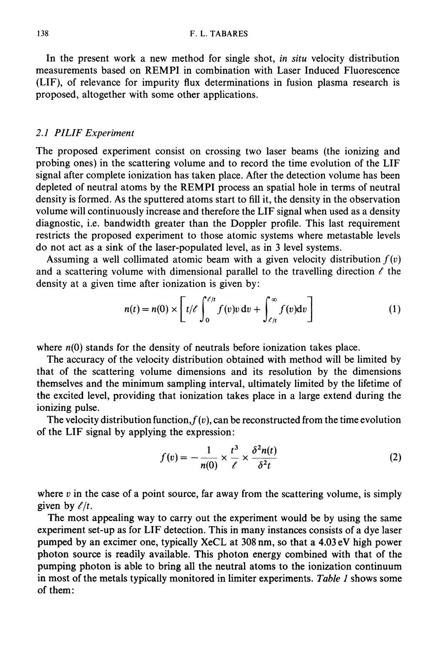In the present work a new method for single shot, in situ velocity distribution measurements based on REMPI in combination with Laser Induced Fluorescence (LIF), of relevance for impurity flux determinations in fusion plasma research is proposed, altogether with some other applications.

#### 2.1 PILIF Experiment

The proposed experiment consist on crossing two laser beams (the ionizing and probing ones) in the scattering volume and to record the time evolution of the LIF signal after complete ionization has taken place. After the detection volume has been depleted of neutral atoms by the REMPI process an spatial hole in terms of neutral density is formed. As the sputtered atoms start to fill it, the density in the observation volume will continuously increase and therefore the LIF signal when used as a density diagnostic, i.e. bandwidth greater than the Doppler profile. This last requirement restricts the proposed experiment to those atomic systems where metastable levels do not act as a sink of the laser-populated level, as in 3 level systems.

Assuming a well collimated atomic beam with a given velocity distribution  $f(v)$ and a scattering volume with dimensional parallel to the travelling direction  $\ell$  the density at a given time after ionization is given by:

$$
n(t) = n(0) \times \left[ t/\ell \int_0^{\ell/t} f(v)v dv + \int_{\ell/t}^{\infty} f(v) dv \right]
$$
 (1)

where  $n(0)$  stands for the density of neutrals before ionization takes place.

The accuracy of the velocity distribution obtained with method will be limited by that of the scattering volume dimensions and its resolution by the dimensions themselves and the minimum sampling interval, ultimately limited by the lifetime of the excited level, providing that ionization takes place in a large extend during the ionizing pulse.

The velocity distribution function,  $f(v)$ , can be reconstructed from the time evolution of the LIF signal by applying the expression:

$$
f(v) = -\frac{1}{n(0)} \times \frac{t^3}{\ell} \times \frac{\delta^2 n(t)}{\delta^2 t}
$$
 (2)

where  $v$  in the case of a point source, far away from the scattering volume, is simply given by  $\ell/t$ .

The most appealing way to carry out the experiment would be by using the same experiment set-up as for LIF detection. This in many instances consists of a dye laser pumped by an excimer one, typically XeCL at 308 nm, so that a 4.03 eV high power photon source is readily available. This photon energy combined with that of the pumping photon is able to bring all the neutral atoms to the ionization continuum in most of the metals typically monitored in limiter experiments. Table I shows some of them: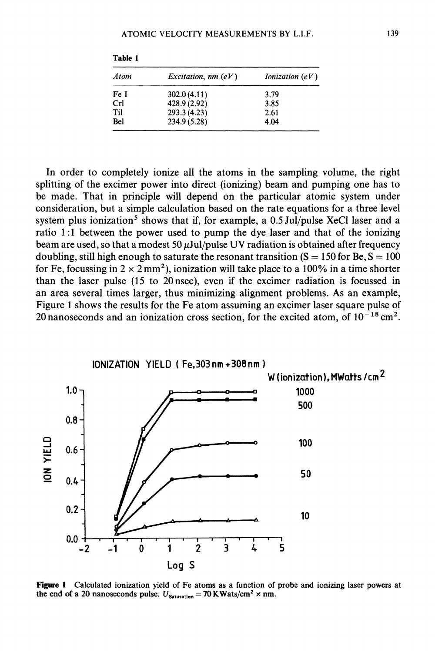| таріс І |                                         |                          |
|---------|-----------------------------------------|--------------------------|
| Atom    | <i>Excitation, nm <math>(eV)</math></i> | <i>Ionization</i> $(eV)$ |
| Fe I    | 302.0(4.11)                             | 3.79                     |
| Cr1     | 428.9 (2.92)                            | 3.85                     |
| Til     | 293.3 (4.23)                            | 2.61                     |
| Bel     | 234.9 (5.28)                            | 4.04                     |

Table 1

In order to completely ionize all the atoms in the sampling volume, the right splitting of the excimer power into direct (ionizing) beam and pumping one has to be made. That in principle will depend on the particular atomic system under consideration, but a simple calculation based on the rate equations for a three level system plus ionization<sup>5</sup> shows that if, for example, a 0.5 Jul/pulse XeCl laser and a ratio 1:1 between the power used to pump the dye laser and that of the ionizing beam are used, so that a modest 50  $\mu$ Jul/pulse UV radiation is obtained after frequency doubling, still high enough to saturate the resonant transition ( $S = 150$  for Be,  $S = 100$ for Fe, focussing in  $2 \times 2$  mm<sup>2</sup>), ionization will take place to a 100% in a time shorter than the laser pulse (15 to 20nsec), even if the excimer radiation is focussed in an area several times larger, thus minimizing alignment problems. As an example, Figure <sup>1</sup> shows the results for the Fe atom assuming an excimer laser square pulse of 20 nanoseconds and an ionization cross section, for the excited atom, of  $10^{-18}$  cm<sup>2</sup>.



Figure 1 Calculated ionization yield of Fe atoms as a function of probe and ionizing laser powers at the end of a 20 nanoseconds pulse.  $U_{\text{Sautration}} = 70 \text{ KWats/cm}^2 \times \text{nm}$ .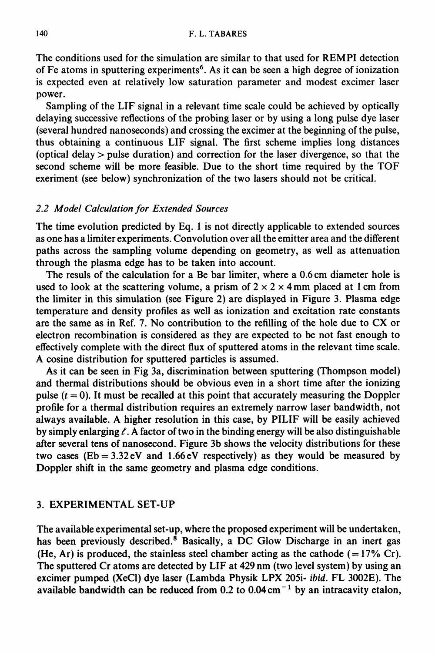The conditions used for the simulation are similar to that used for REMPI detection of Fe atoms in sputtering experiments<sup>6</sup>. As it can be seen a high degree of ionization is expected even at relatively low saturation parameter and modest excimer laser power.

Sampling of the LIF signal in a relevant time scale could be achieved by optically delaying successive reflections of the probing laser or by using a long pulse dye laser (several hundred nanoseconds) and crossing the excimer at the beginning of the pulse, thus obtaining a continuous LIF signal. The first scheme implies long distances (optical delay > pulse duration) and correction for the laser divergence, so that the second scheme will be more feasible. Due to the short time required by the TOF exeriment (see below) synchronization of the two lasers should not be critical.

#### 2.2 Model Calculation for Extended Sources

The time evolution predicted by Eq. <sup>1</sup> is not directly applicable to extended sources as one has a limiter experiments. Convolution over all the emitter area and the different paths across the sampling volume depending on geometry, as well as attenuation through the plasma edge has to be taken into account.

The resuls of the calculation for a Be bar limiter, where a 0.6 cm diameter hole is used to look at the scattering volume, a prism of  $2 \times 2 \times 4$  mm placed at 1 cm from the limiter in this simulation (see Figure 2) are displayed in Figure 3. Plasma edge temperature and density profiles as well as ionization and excitation rate constants are the same as in Ref. 7. No contribution to the refilling of the hole due to CX or electron recombination is considered as they are expected to be not fast enough to effectively complete with the direct flux of sputtered atoms in the relevant time scale. A cosine distribution for sputtered particles is assumed.

As it can be seen in Fig 3a, discrimination between sputtering (Thompson model) and thermal distributions should be obvious even in a short time after the ionizing pulse  $(t = 0)$ . It must be recalled at this point that accurately measuring the Doppler profile for a thermal distribution requires an extremely narrow laser bandwidth, not always available. A higher resolution in this case, by PILIF will be easily achieved by simply enlarging  $\ell$ . A factor of two in the binding energy will be also distinguishable after several tens of nanosecond. Figure 3b shows the velocity distributions for these two cases  $(Eb = 3.32$  eV and 1.66 eV respectively) as they would be measured by Doppler shift in the same geometry and plasma edge conditions.

# 3. EXPERIMENTAL SET-UP

The available experimental set-up, where the proposed experiment will be undertaken, has been previously described.<sup>8</sup> Basically, a DC Glow Discharge in an inert gas (He, Ar) is produced, the stainless steel chamber acting as the cathode  $(= 17\% \text{ Cr})$ . The sputtered Cr atoms are detected by LIF at 429 nm (two level system) by using an excimer pumped (XeCI) dye laser (Lambda Physik LPX 205i- ibid. FL 3002E). The available bandwidth can be reduced from 0.2 to  $0.04 \text{ cm}^{-1}$  by an intracavity etalon,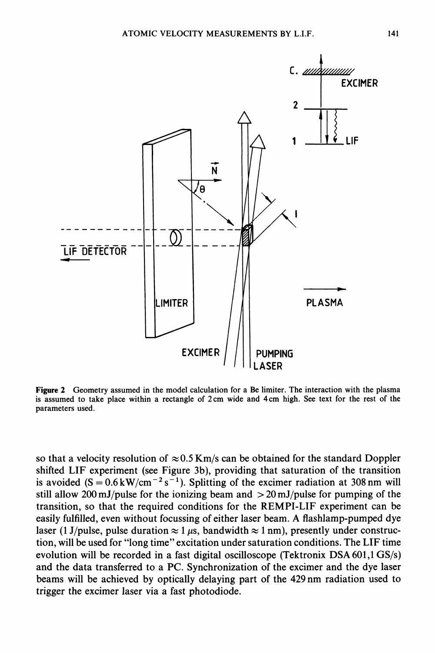

Figure 2 Geometry assumed in the model calculation for a Be limiter. The interaction with the plasma is assumed to take place within a rectangle of 2 cm wide and 4cm high. See text for the rest of the parameters used.

so that a velocity resolution of  $\approx 0.5$  Km/s can be obtained for the standard Doppler shifted LIF experiment (see Figure 3b), providing that saturation of the transition is avoided  $(S = 0.6 \text{ kW/cm}^{-2} \text{ s}^{-1})$ . Splitting of the excimer radiation at 308 nm will still allow 200 mJ/pulse for the ionizing beam and  $>$  20 mJ/pulse for pumping of the transition, so that the required conditions for the REMPI-LIF experiment can be easily fulfilled, even without focussing of either laser beam. A flashlamp-pumped dye laser (1 J/pulse, pulse duration  $\approx 1 \,\mu s$ , bandwidth  $\approx 1 \,\text{nm}$ ), presently under construction, will be used for "long time" excitation under saturation conditions. The LIF time evolution will be recorded in <sup>a</sup> fast digital oscilloscope (Tektronix DSA 601,1 GS/s) and the data transferred to a PC. Synchronization of the excimer and the dye laser beams will be achieved by optically delaying part of the 429 nm radiation used to trigger the excimer laser via a fast photodiode.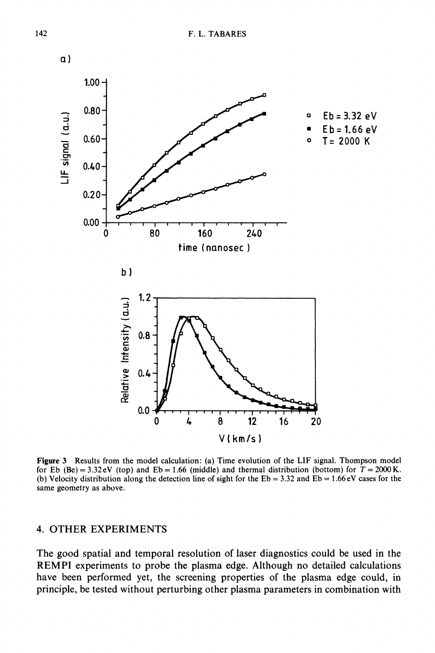

Figure 3 Results from the model calculation: (a) Time evolution of the LIF signal. Thompson model for Eb (Be) = 3.32 eV (top) and Eb = 1.66 (middle) and thermal distribution (bottom) for  $T = 2000$  K. (b) Velocity distribution along the detection line of sight for the  $Eb = 3.32$  and  $Eb = 1.66eV$  cases for the same geometry as above.

# 4. OTHER EXPERIMENTS

The good spatial and temporal resolution of laser diagnostics could be used in the REMPI experiments to probe the plasma edge. Although no detailed calculations have been performed yet, the screening properties of the plasma edge could, in principle, be tested without perturbing other plasma parameters in combination with